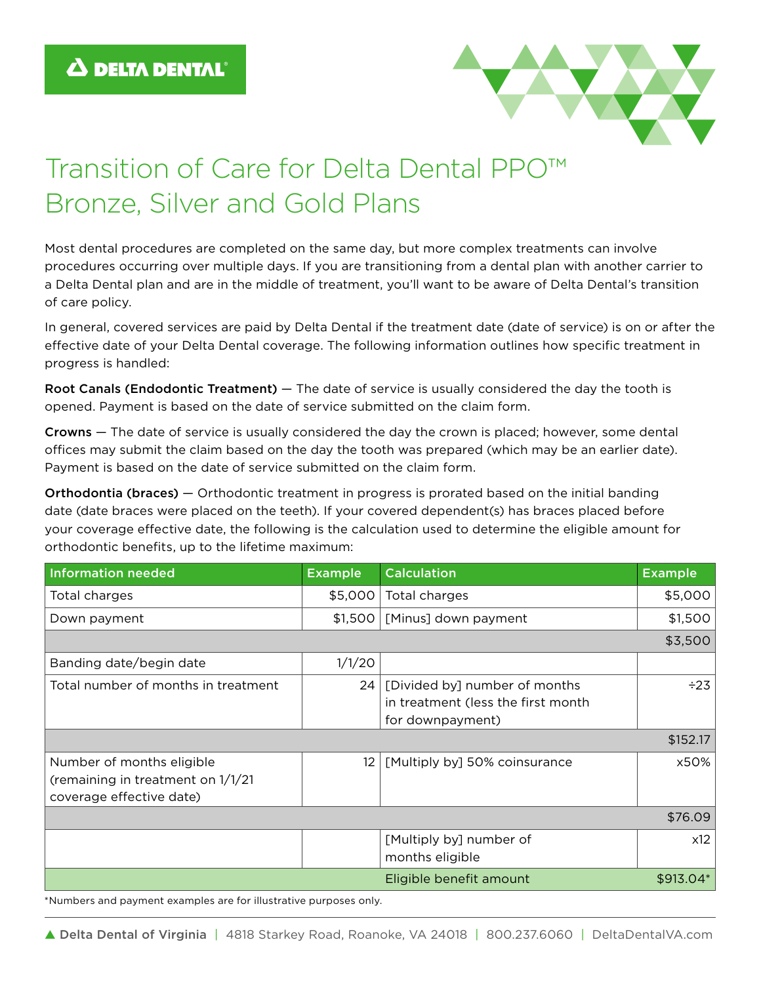

## Transition of Care for Delta Dental PPO™ Bronze, Silver and Gold Plans

Most dental procedures are completed on the same day, but more complex treatments can involve procedures occurring over multiple days. If you are transitioning from a dental plan with another carrier to a Delta Dental plan and are in the middle of treatment, you'll want to be aware of Delta Dental's transition of care policy.

In general, covered services are paid by Delta Dental if the treatment date (date of service) is on or after the effective date of your Delta Dental coverage. The following information outlines how specific treatment in progress is handled:

Root Canals (Endodontic Treatment) — The date of service is usually considered the day the tooth is opened. Payment is based on the date of service submitted on the claim form.

Crowns — The date of service is usually considered the day the crown is placed; however, some dental offices may submit the claim based on the day the tooth was prepared (which may be an earlier date). Payment is based on the date of service submitted on the claim form.

Orthodontia (braces) — Orthodontic treatment in progress is prorated based on the initial banding date (date braces were placed on the teeth). If your covered dependent(s) has braces placed before your coverage effective date, the following is the calculation used to determine the eligible amount for orthodontic benefits, up to the lifetime maximum:

| <b>Information needed</b>                                                                   | <b>Example</b> | <b>Calculation</b>                                                                      | <b>Example</b> |
|---------------------------------------------------------------------------------------------|----------------|-----------------------------------------------------------------------------------------|----------------|
| Total charges                                                                               | \$5,000        | Total charges                                                                           | \$5,000        |
| Down payment                                                                                | \$1,500        | [Minus] down payment                                                                    | \$1,500        |
| \$3,500                                                                                     |                |                                                                                         |                |
| Banding date/begin date                                                                     | 1/1/20         |                                                                                         |                |
| Total number of months in treatment                                                         | 24             | [Divided by] number of months<br>in treatment (less the first month<br>for downpayment) | $\div 23$      |
| \$152.17                                                                                    |                |                                                                                         |                |
| Number of months eligible<br>(remaining in treatment on 1/1/21)<br>coverage effective date) | 12             | [Multiply by] 50% coinsurance                                                           | x50%           |
| \$76.09                                                                                     |                |                                                                                         |                |
|                                                                                             |                | [Multiply by] number of<br>months eligible                                              | x12            |
|                                                                                             |                | Eligible benefit amount                                                                 | \$913.04*      |

\*Numbers and payment examples are for illustrative purposes only.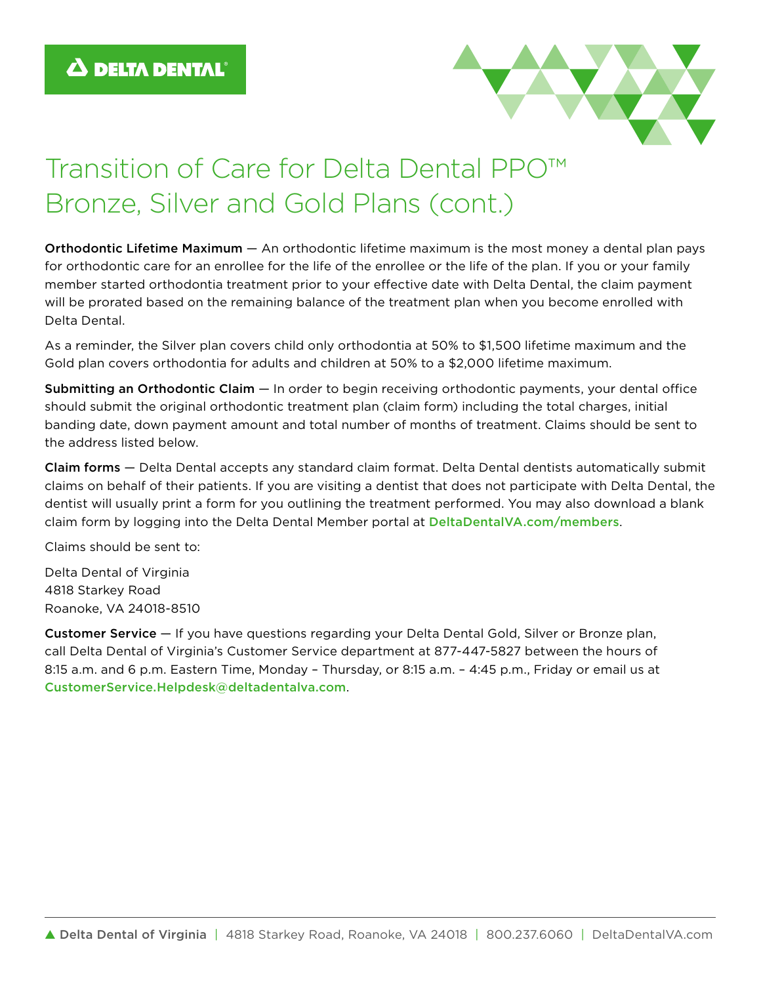

## Transition of Care for Delta Dental PPO™ Bronze, Silver and Gold Plans (cont.)

Orthodontic Lifetime Maximum — An orthodontic lifetime maximum is the most money a dental plan pays for orthodontic care for an enrollee for the life of the enrollee or the life of the plan. If you or your family member started orthodontia treatment prior to your effective date with Delta Dental, the claim payment will be prorated based on the remaining balance of the treatment plan when you become enrolled with Delta Dental.

As a reminder, the Silver plan covers child only orthodontia at 50% to \$1,500 lifetime maximum and the Gold plan covers orthodontia for adults and children at 50% to a \$2,000 lifetime maximum.

Submitting an Orthodontic Claim - In order to begin receiving orthodontic payments, your dental office should submit the original orthodontic treatment plan (claim form) including the total charges, initial banding date, down payment amount and total number of months of treatment. Claims should be sent to the address listed below.

Claim forms — Delta Dental accepts any standard claim format. Delta Dental dentists automatically submit claims on behalf of their patients. If you are visiting a dentist that does not participate with Delta Dental, the dentist will usually print a form for you outlining the treatment performed. You may also download a blank claim form by logging into the Delta Dental Member portal at DeltaDentalVA.com/members.

Claims should be sent to:

Delta Dental of Virginia 4818 Starkey Road Roanoke, VA 24018-8510

Customer Service — If you have questions regarding your Delta Dental Gold, Silver or Bronze plan, call Delta Dental of Virginia's Customer Service department at 877-447-5827 between the hours of 8:15 a.m. and 6 p.m. Eastern Time, Monday – Thursday, or 8:15 a.m. – 4:45 p.m., Friday or email us at CustomerService.Helpdesk@deltadentalva.com.